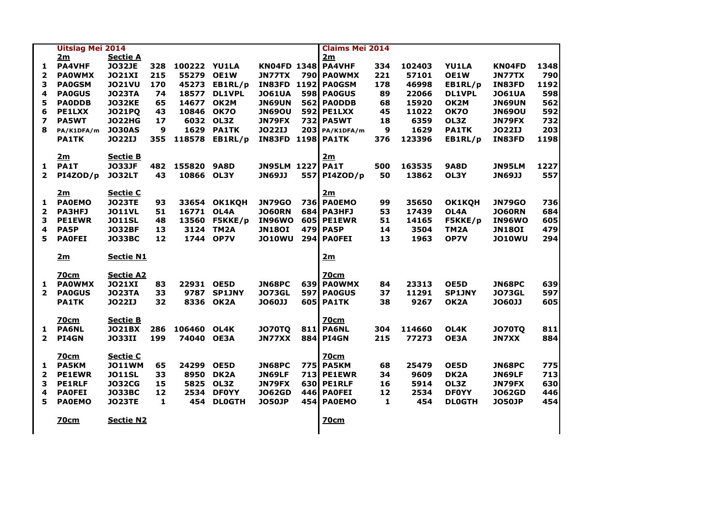|                         | <b>Uitslag Mei 2014</b> |                  |     |             |                   |                         | <b>Claims Mei 2014</b> |     |        |                   |               |      |
|-------------------------|-------------------------|------------------|-----|-------------|-------------------|-------------------------|------------------------|-----|--------|-------------------|---------------|------|
|                         | 2m                      | <b>Sectie A</b>  |     |             |                   |                         | 2m                     |     |        |                   |               |      |
| 1                       | <b>PA4VHF</b>           | <b>JO32JE</b>    | 328 | 100222      | <b>YU1LA</b>      |                         | KN04FD 1348 PA4VHF     | 334 | 102403 | <b>YU1LA</b>      | KN04FD        | 1348 |
| $\mathbf{2}$            | <b>PAOWMX</b>           | <b>JO21XI</b>    | 215 | 55279       | <b>OE1W</b>       | <b>JN77TX</b>           | 790 PA0WMX             | 221 | 57101  | <b>OE1W</b>       | <b>JN77TX</b> | 790  |
| 3                       | <b>PAOGSM</b>           | <b>JO21VU</b>    | 170 | 45273       | EB1RL/p           | IN83FD                  | <b>1192 PA0GSM</b>     | 178 | 46998  | EB1RL/p           | IN83FD        | 1192 |
| 4                       | <b>PAOGUS</b>           | <b>JO23TA</b>    | 74  | 18577       | <b>DL1VPL</b>     | <b>JO61UA</b>           | 598 PA0GUS             | 89  | 22066  | <b>DL1VPL</b>     | <b>JO61UA</b> | 598  |
| 5                       | <b>PAODDB</b>           | <b>JO32KE</b>    | 65  | 14677       | OK2M              | <b>JN69UN</b>           | 562 PAODDB             | 68  | 15920  | OK2M              | <b>JN69UN</b> | 562  |
| 6                       | <b>PE1LXX</b>           | <b>JO21PQ</b>    | 43  | 10846       | <b>OK70</b>       | <b>JN69OU</b>           | <b>592 PE1LXX</b>      | 45  | 11022  | <b>OK70</b>       | <b>JN69OU</b> | 592  |
| $\overline{\mathbf{z}}$ | <b>PA5WT</b>            | <b>JO22HG</b>    | 17  | 6032        | OL3Z              | <b>JN79FX</b>           | <b>732 PA5WT</b>       | 18  | 6359   | OL3Z              | <b>JN79FX</b> | 732  |
| 8                       | PA/K1DFA/m              | <b>JO30AS</b>    | 9   | 1629        | <b>PA1TK</b>      | <b>JO22IJ</b>           | $203$ PA/K1DFA/m       | 9   | 1629   | <b>PA1TK</b>      | <b>JO22IJ</b> | 203  |
|                         | <b>PA1TK</b>            | <b>JO22IJ</b>    | 355 | 118578      | EB1RL/p           | IN83FD                  | <b>1198 PA1TK</b>      | 376 | 123396 | EB1RL/p           | IN83FD        | 1198 |
|                         | 2m                      | <b>Sectie B</b>  |     |             |                   |                         | 2m                     |     |        |                   |               |      |
| 1                       | PA1T                    | <b>JO33JF</b>    | 482 | 155820      | <b>9A8D</b>       | <b>JN95LM 1227 PA1T</b> |                        | 500 | 163535 | <b>9A8D</b>       | <b>JN95LM</b> | 1227 |
| $\overline{2}$          | PI4ZOD/p                | <b>JO32LT</b>    | 43  | 10866       | OL3Y              | <b>JN69JJ</b>           | 557 PI4ZOD/p           | 50  | 13862  | OL3Y              | <b>JN69JJ</b> | 557  |
|                         | <u>2m</u>               | <b>Sectie C</b>  |     |             |                   |                         | 2m                     |     |        |                   |               |      |
| ı                       | <b>PAOEMO</b>           | <b>JO23TE</b>    | 93  | 33654       | <b>OK1KQH</b>     | <b>JN79GO</b>           | <b>736 PA0EMO</b>      | 99  | 35650  | <b>OK1KQH</b>     | <b>JN79GO</b> | 736  |
| $\mathbf{2}$            | <b>PA3HFJ</b>           | <b>JO11VL</b>    | 51  | 16771       | OL4A              | <b>JO60RN</b>           | <b>684 PA3HFJ</b>      | 53  | 17439  | OL4A              | <b>JO60RN</b> | 684  |
| 3                       | <b>PE1EWR</b>           | <b>JO11SL</b>    | 48  | 13560       | F5KKE/p           | IN96WO                  | <b>605 PE1EWR</b>      | 51  | 14165  | F5KKE/p           | IN96WO        | 605  |
| 4                       | PA5P                    | <b>JO32BF</b>    | 13  | 3124        | TM2A              | <b>JN180I</b>           | 479 PA5P               | 14  | 3504   | TM <sub>2</sub> A | <b>JN180I</b> | 479  |
| 5                       | <b>PAOFEI</b>           | <b>JO33BC</b>    | 12  | 1744        | OP7V              | <b>JO10WU</b>           | 294 PAOFEI             | 13  | 1963   | OP7V              | <b>JO10WU</b> | 294  |
|                         | 2m                      | <b>Sectie N1</b> |     |             |                   |                         | 2m                     |     |        |                   |               |      |
|                         | <b>70cm</b>             | <b>Sectie A2</b> |     |             |                   |                         | <b>70cm</b>            |     |        |                   |               |      |
| 1.                      | <b>PAOWMX</b>           | <b>JO21XI</b>    | 83  | 22931       | OE5D              | <b>JN68PC</b>           | 639 PAOWMX             | 84  | 23313  | OE5D              | <b>JN68PC</b> | 639  |
| $\mathbf{2}$            | <b>PAOGUS</b>           | <b>JO23TA</b>    | 33  | 9787        | <b>SP1JNY</b>     | <b>JO73GL</b>           | 597 PAOGUS             | 37  | 11291  | <b>SP1JNY</b>     | <b>JO73GL</b> | 597  |
|                         | <b>PA1TK</b>            | <b>JO22IJ</b>    | 32  | 8336        | OK2A              | <b>JO60JJ</b>           | <b>605 PA1TK</b>       | 38  | 9267   | OK <sub>2</sub> A | <b>JO60JJ</b> | 605  |
|                         | <u>70cm</u>             | <b>Sectie B</b>  |     |             |                   |                         | <b>70cm</b>            |     |        |                   |               |      |
| 1                       | <b>PA6NL</b>            | <b>JO21BX</b>    | 286 | 106460 OL4K |                   | <b>JO70TQ</b>           | <b>811 PA6NL</b>       | 304 | 114660 | OL4K              | <b>JO70TQ</b> | 811  |
| $\mathbf{2}$            | PI4GN                   | <b>JO33II</b>    | 199 | 74040       | <b>OE3A</b>       | JN77XX                  | 884 PI4GN              | 215 | 77273  | <b>OE3A</b>       | <b>JN7XX</b>  | 884  |
|                         | <u>70cm</u>             | <b>Sectie C</b>  |     |             |                   |                         | <b>70cm</b>            |     |        |                   |               |      |
| 1.                      | <b>PA5KM</b>            | <b>JO11WM</b>    | 65  | 24299       | OE5D              | <b>JN68PC</b>           | <b>775 PA5KM</b>       | 68  | 25479  | OE5D              | <b>JN68PC</b> | 775  |
| $\mathbf{z}$            | <b>PE1EWR</b>           | <b>JO11SL</b>    | 33  | 8950        | DK <sub>2</sub> A | <b>JN69LF</b>           | <b>713 PE1EWR</b>      | 34  | 9609   | DK <sub>2</sub> A | JN69LF        | 713  |
| 3                       | <b>PE1RLF</b>           | <b>JO32CG</b>    | 15  | 5825        | OL3Z              | JN79FX                  | 630 PE1RLF             | 16  | 5914   | OL3Z              | JN79FX        | 630  |
| 4                       | <b>PAOFEI</b>           | <b>JO33BC</b>    | 12  | 2534        | <b>DF0YY</b>      | <b>JO62GD</b>           | 446 PAOFEI             | 12  | 2534   | <b>DFOYY</b>      | <b>JO62GD</b> | 446  |
| 5                       | <b>PAOEMO</b>           | <b>JO23TE</b>    | 1   | 454         | <b>DLOGTH</b>     | <b>JO50JP</b>           | 454 PA0EMO             | 1   | 454    | <b>DLOGTH</b>     | <b>JO50JP</b> | 454  |
|                         | <u>70cm</u>             | <b>Sectie N2</b> |     |             |                   |                         | <b>70cm</b>            |     |        |                   |               |      |
|                         |                         |                  |     |             |                   |                         |                        |     |        |                   |               |      |

| 48<br>90<br>92<br>98<br>62<br>92<br>32<br>03<br>98 |  |
|----------------------------------------------------|--|
| 27<br>57                                           |  |
| 36<br>84<br>05<br>–<br>79<br>94                    |  |
| 39<br>97<br>05                                     |  |
| 11<br>84                                           |  |
| 75<br>13<br>30<br>46<br>54                         |  |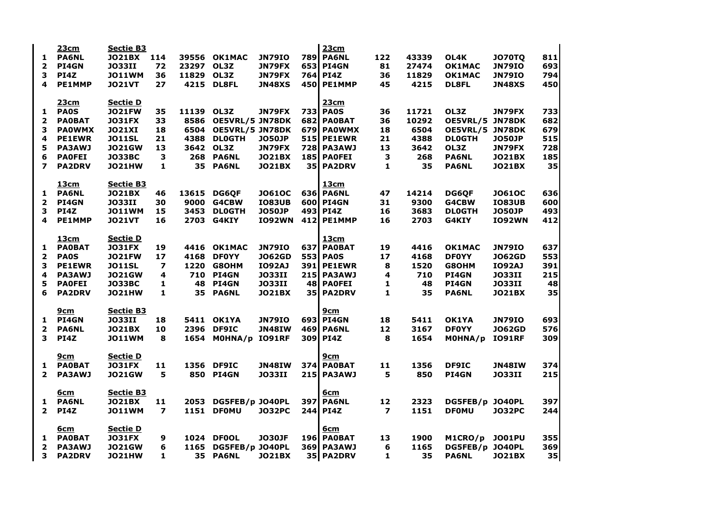|                         | 23cm          | <b>Sectie B3</b> |                         |       |                        |               |           | <b>23cm</b>       |                         |       |                 |               |     |
|-------------------------|---------------|------------------|-------------------------|-------|------------------------|---------------|-----------|-------------------|-------------------------|-------|-----------------|---------------|-----|
| 1.                      | <b>PA6NL</b>  | <b>JO21BX</b>    | 114                     | 39556 | <b>OK1MAC</b>          | <b>JN79IO</b> |           | <b>789 PA6NL</b>  | 122                     | 43339 | OL4K            | <b>JO70TQ</b> | 811 |
| 2                       | <b>PI4GN</b>  | <b>JO33II</b>    | 72                      | 23297 | OL3Z                   | <b>JN79FX</b> |           | 653 PI4GN         | 81                      | 27474 | <b>OK1MAC</b>   | <b>JN79IO</b> | 693 |
| 3                       | PI4Z          | <b>JO11WM</b>    | 36                      | 11829 | OL3Z                   | <b>JN79FX</b> |           | 764 PI4Z          | 36                      | 11829 | <b>OK1MAC</b>   | <b>JN79IO</b> | 794 |
| 4                       | <b>PE1MMP</b> | <b>JO21VT</b>    | 27                      | 4215  | <b>DL8FL</b>           | <b>JN48XS</b> |           | 450 PE1MMP        | 45                      | 4215  | <b>DL8FL</b>    | <b>JN48XS</b> | 450 |
|                         | 23cm          | <b>Sectie D</b>  |                         |       |                        |               |           | <b>23cm</b>       |                         |       |                 |               |     |
| $\mathbf{1}$            | <b>PAOS</b>   | <b>JO21FW</b>    | 35                      | 11139 | OL3Z                   | <b>JN79FX</b> |           | <b>733 PA0S</b>   | 36                      | 11721 | OL3Z            | JN79FX        | 733 |
| $\mathbf{2}$            | <b>PAOBAT</b> | <b>JO31FX</b>    | 33                      | 8586  | <b>OE5VRL/5 JN78DK</b> |               |           | 682 PA0BAT        | 36                      | 10292 | OE5VRL/5        | JN78DK        | 682 |
| 3                       | <b>PAOWMX</b> | <b>JO21XI</b>    | 18                      | 6504  | <b>OE5VRL/5 JN78DK</b> |               |           | 679 PA0WMX        | 18                      | 6504  | OE5VRL/5 JN78DK |               | 679 |
| 4                       | <b>PE1EWR</b> | <b>JO11SL</b>    | 21                      | 4388  | <b>DLOGTH</b>          | <b>JO50JP</b> |           | <b>515 PE1EWR</b> | 21                      | 4388  | <b>DLOGTH</b>   | <b>JO50JP</b> | 515 |
| 5                       | <b>PA3AWJ</b> | <b>JO21GW</b>    | 13                      | 3642  | OL3Z                   | <b>JN79FX</b> |           | <b>728 PA3AWJ</b> | 13                      | 3642  | OL3Z            | JN79FX        | 728 |
| 6                       | <b>PAOFEI</b> | <b>JO33BC</b>    | 3                       | 268   | <b>PA6NL</b>           | <b>JO21BX</b> |           | 185 PAOFEI        | 3                       | 268   | <b>PA6NL</b>    | <b>JO21BX</b> | 185 |
| $\overline{\mathbf{z}}$ | <b>PA2DRV</b> | <b>JO21HW</b>    | 1                       | 35    | <b>PA6NL</b>           | <b>JO21BX</b> |           | 35 PA2DRV         | 1                       | 35    | <b>PA6NL</b>    | <b>JO21BX</b> | 35  |
|                         | <u>13cm</u>   | <b>Sectie B3</b> |                         |       |                        |               |           | 13cm              |                         |       |                 |               |     |
| 1.                      | <b>PA6NL</b>  | <b>JO21BX</b>    | 46                      | 13615 | <b>DG6QF</b>           | <b>JO61OC</b> |           | <b>636 PA6NL</b>  | 47                      | 14214 | <b>DG6QF</b>    | <b>JO61OC</b> | 636 |
| $\mathbf{2}$            | <b>PI4GN</b>  | <b>JO33II</b>    | 30                      | 9000  | G4CBW                  | <b>IO83UB</b> |           | 600 PI4GN         | 31                      | 9300  | G4CBW           | <b>IO83UB</b> | 600 |
| 3                       | PI4Z          | <b>JO11WM</b>    | 15                      | 3453  | <b>DLOGTH</b>          | <b>JO50JP</b> |           | 493 PI4Z          | 16                      | 3683  | <b>DLOGTH</b>   | <b>JO50JP</b> | 493 |
| 4                       | <b>PE1MMP</b> | <b>JO21VT</b>    | 16                      | 2703  | G4KIY                  | <b>IO92WN</b> |           | 412 PE1MMP        | 16                      | 2703  | G4KIY           | <b>IO92WN</b> | 412 |
|                         | <u>13cm</u>   | <b>Sectie D</b>  |                         |       |                        |               |           | 13 <sub>cm</sub>  |                         |       |                 |               |     |
| 1                       | <b>PAOBAT</b> | <b>JO31FX</b>    | 19                      | 4416  | <b>OK1MAC</b>          | <b>JN79IO</b> | 637       | <b>PAOBAT</b>     | 19                      | 4416  | <b>OK1MAC</b>   | <b>JN79IO</b> | 637 |
| $\overline{2}$          | <b>PAOS</b>   | <b>JO21FW</b>    | 17                      | 4168  | <b>DFOYY</b>           | <b>JO62GD</b> |           | <b>553 PA0S</b>   | 17                      | 4168  | <b>DFOYY</b>    | <b>JO62GD</b> | 553 |
| 3                       | <b>PE1EWR</b> | <b>JO11SL</b>    | 7                       | 1220  | G8OHM                  | <b>IO92AJ</b> |           | <b>391 PE1EWR</b> | 8                       | 1520  | G8OHM           | <b>IO92AJ</b> | 391 |
| 4                       | <b>PA3AWJ</b> | <b>JO21GW</b>    | 4                       | 710   | PI4GN                  | <b>JO33II</b> |           | <b>215 PA3AWJ</b> | 4                       | 710   | PI4GN           | <b>JO33II</b> | 215 |
| 5                       | <b>PAOFEI</b> | <b>JO33BC</b>    | 1                       | 48    | PI4GN                  | <b>JO33II</b> |           | 48 PAOFEI         | 1                       | 48    | PI4GN           | <b>JO33II</b> | 48  |
| 6                       | <b>PA2DRV</b> | <b>JO21HW</b>    | 1                       | 35    | <b>PA6NL</b>           | <b>JO21BX</b> | <b>35</b> | <b>PA2DRV</b>     | 1                       | 35    | <b>PA6NL</b>    | <b>JO21BX</b> | 35  |
|                         | <u>9cm</u>    | <b>Sectie B3</b> |                         |       |                        |               |           | <u>9cm</u>        |                         |       |                 |               |     |
| 1                       | <b>PI4GN</b>  | <b>JO33II</b>    | 18                      |       | 5411 OK1YA             | <b>JN79IO</b> |           | 693 PI4GN         | 18                      | 5411  | <b>OK1YA</b>    | <b>JN79IO</b> | 693 |
| $\mathbf{2}$            | <b>PA6NL</b>  | <b>JO21BX</b>    | 10                      | 2396  | <b>DF9IC</b>           | <b>JN48IW</b> |           | <b>469 PA6NL</b>  | 12                      | 3167  | <b>DFOYY</b>    | <b>JO62GD</b> | 576 |
| 3                       | PI4Z          | <b>JO11WM</b>    | 8                       | 1654  | MOHNA/p                | <b>IO91RF</b> |           | 309 PI4Z          | 8                       | 1654  | MOHNA/p         | <b>IO91RF</b> | 309 |
|                         | <u>9cm</u>    | <b>Sectie D</b>  |                         |       |                        |               |           | 9cm               |                         |       |                 |               |     |
| $\mathbf{1}$            | <b>PAOBAT</b> | <b>JO31FX</b>    | 11                      |       | 1356 DF9IC             | <b>JN48IW</b> |           | <b>374 PA0BAT</b> | 11                      | 1356  | <b>DF9IC</b>    | <b>JN48IW</b> | 374 |
| 2 <sup>1</sup>          | <b>PA3AWJ</b> | <b>JO21GW</b>    | 5                       | 850   | <b>PI4GN</b>           | <b>JO33II</b> |           | <b>215 PA3AWJ</b> | 5                       | 850   | PI4GN           | <b>JO33II</b> | 215 |
|                         | <u>6cm</u>    | <b>Sectie B3</b> |                         |       |                        |               |           | <u>6cm</u>        |                         |       |                 |               |     |
| $\mathbf{1}$            | <b>PA6NL</b>  | <b>JO21BX</b>    | 11                      | 2053  | DG5FEB/p JO40PL        |               |           | <b>397 PA6NL</b>  | 12                      | 2323  | DG5FEB/p JO40PL |               | 397 |
| $\mathbf{2}$            | PI4Z          | <b>JO11WM</b>    | $\overline{\mathbf{z}}$ | 1151  | <b>DFOMU</b>           | <b>JO32PC</b> |           | 244 PI4Z          | $\overline{\mathbf{z}}$ | 1151  | <b>DFOMU</b>    | <b>JO32PC</b> | 244 |
|                         | <u>6cm</u>    | <b>Sectie D</b>  |                         |       |                        |               |           | <u>6cm</u>        |                         |       |                 |               |     |
| 1.                      | <b>PAOBAT</b> | <b>JO31FX</b>    | 9                       |       | 1024 DF0OL             | <b>JO30JF</b> |           | 196 PAOBAT        | 13                      | 1900  | M1CRO/p         | <b>JO01PU</b> | 355 |
| $\mathbf{2}$            | <b>PA3AWJ</b> | <b>JO21GW</b>    | 6                       | 1165  | DG5FEB/p JO40PL        |               |           | <b>369 PA3AWJ</b> | 6                       | 1165  | DG5FEB/p JO40PL |               | 369 |
| 3                       | <b>PA2DRV</b> | <b>JO21HW</b>    | 1                       | 35    | <b>PA6NL</b>           | <b>JO21BX</b> |           | 35 PA2DRV         | 1                       | 35    | <b>PA6NL</b>    | <b>JO21BX</b> | 35  |

| 811        | 693<br>794<br>450                            |  |
|------------|----------------------------------------------|--|
|            | 733<br>682<br>679<br>515<br>728<br>185<br>35 |  |
|            | 636<br>600<br>493<br>412                     |  |
| 637<br>391 | 553<br>215<br>48<br>35                       |  |
| 693<br>576 | 309                                          |  |
| 215        | 374                                          |  |
| 397        | 244                                          |  |
| 355<br>369 | 35                                           |  |